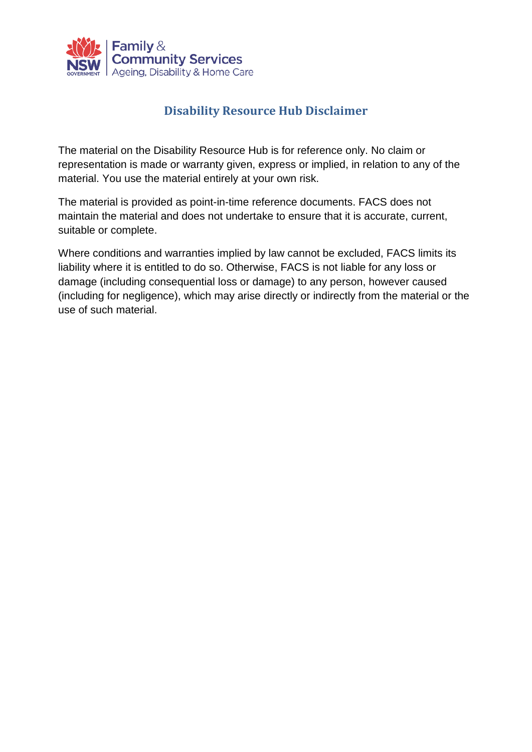

### **Disability Resource Hub Disclaimer**

The material on the Disability Resource Hub is for reference only. No claim or representation is made or warranty given, express or implied, in relation to any of the material. You use the material entirely at your own risk.

The material is provided as point-in-time reference documents. FACS does not maintain the material and does not undertake to ensure that it is accurate, current, suitable or complete.

Where conditions and warranties implied by law cannot be excluded, FACS limits its liability where it is entitled to do so. Otherwise, FACS is not liable for any loss or damage (including consequential loss or damage) to any person, however caused (including for negligence), which may arise directly or indirectly from the material or the use of such material.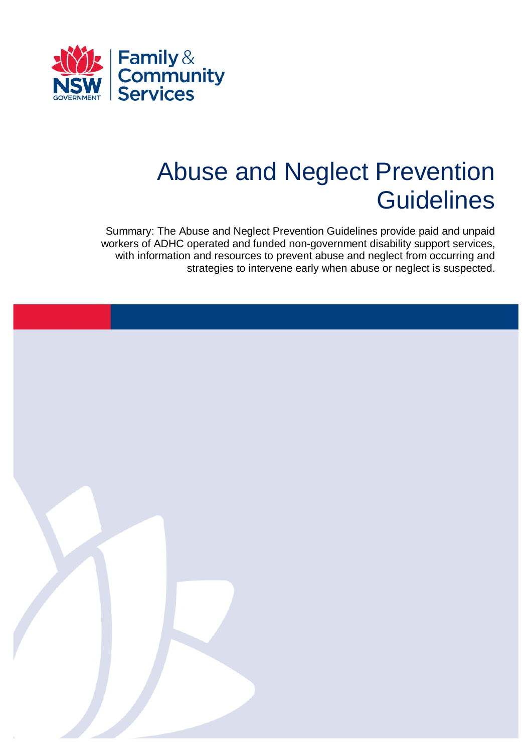

# Abuse and Neglect Prevention **Guidelines**

Summary: The Abuse and Neglect Prevention Guidelines provide paid and unpaid workers of ADHC operated and funded non-government disability support services, with information and resources to prevent abuse and neglect from occurring and strategies to intervene early when abuse or neglect is suspected.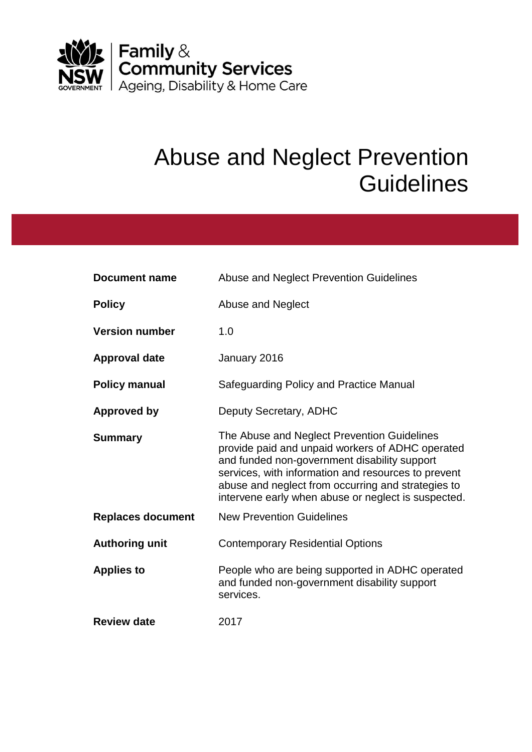

# Abuse and Neglect Prevention **Guidelines**

| <b>Document name</b>     | Abuse and Neglect Prevention Guidelines                                                                                                                                                                                                                                                                             |
|--------------------------|---------------------------------------------------------------------------------------------------------------------------------------------------------------------------------------------------------------------------------------------------------------------------------------------------------------------|
| <b>Policy</b>            | Abuse and Neglect                                                                                                                                                                                                                                                                                                   |
| <b>Version number</b>    | 1.0                                                                                                                                                                                                                                                                                                                 |
| <b>Approval date</b>     | January 2016                                                                                                                                                                                                                                                                                                        |
| <b>Policy manual</b>     | Safeguarding Policy and Practice Manual                                                                                                                                                                                                                                                                             |
| Approved by              | Deputy Secretary, ADHC                                                                                                                                                                                                                                                                                              |
| <b>Summary</b>           | The Abuse and Neglect Prevention Guidelines<br>provide paid and unpaid workers of ADHC operated<br>and funded non-government disability support<br>services, with information and resources to prevent<br>abuse and neglect from occurring and strategies to<br>intervene early when abuse or neglect is suspected. |
| <b>Replaces document</b> | <b>New Prevention Guidelines</b>                                                                                                                                                                                                                                                                                    |
| <b>Authoring unit</b>    | <b>Contemporary Residential Options</b>                                                                                                                                                                                                                                                                             |
| <b>Applies to</b>        | People who are being supported in ADHC operated<br>and funded non-government disability support<br>services.                                                                                                                                                                                                        |
| <b>Review date</b>       | 2017                                                                                                                                                                                                                                                                                                                |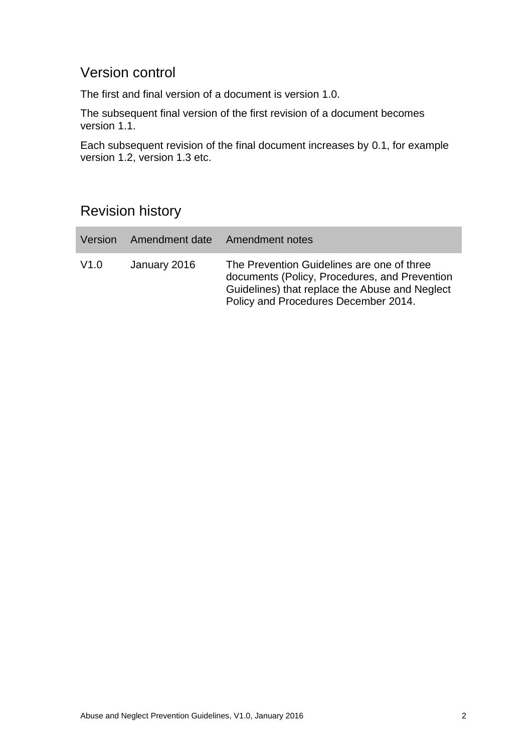## Version control

The first and final version of a document is version 1.0.

The subsequent final version of the first revision of a document becomes version 1.1.

Each subsequent revision of the final document increases by 0.1, for example version 1.2, version 1.3 etc.

## Revision history

| Version | Amendment date Amendment notes |                                                                                                                                                                                       |
|---------|--------------------------------|---------------------------------------------------------------------------------------------------------------------------------------------------------------------------------------|
| V1.0    | January 2016                   | The Prevention Guidelines are one of three<br>documents (Policy, Procedures, and Prevention<br>Guidelines) that replace the Abuse and Neglect<br>Policy and Procedures December 2014. |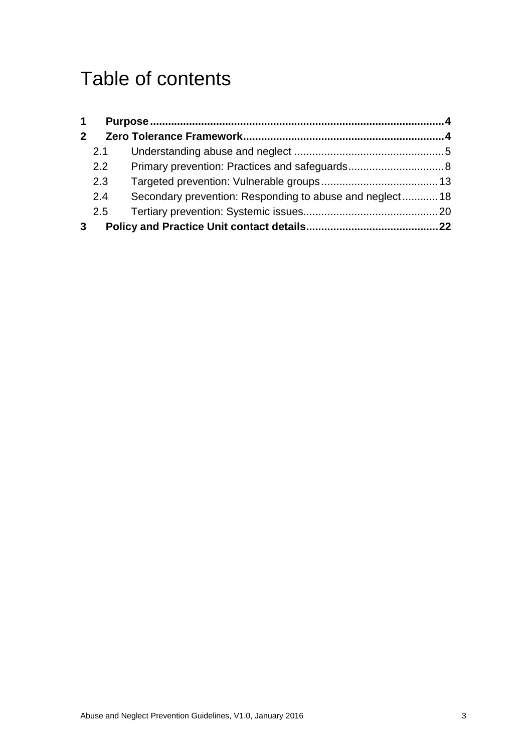# Table of contents

| $\mathbf 1$    |               |                                                         |  |
|----------------|---------------|---------------------------------------------------------|--|
| $\overline{2}$ |               |                                                         |  |
|                | 2.1           |                                                         |  |
|                | $2.2^{\circ}$ |                                                         |  |
|                | 2.3           |                                                         |  |
|                | 2.4           | Secondary prevention: Responding to abuse and neglect18 |  |
|                | 2.5           |                                                         |  |
| 3              |               |                                                         |  |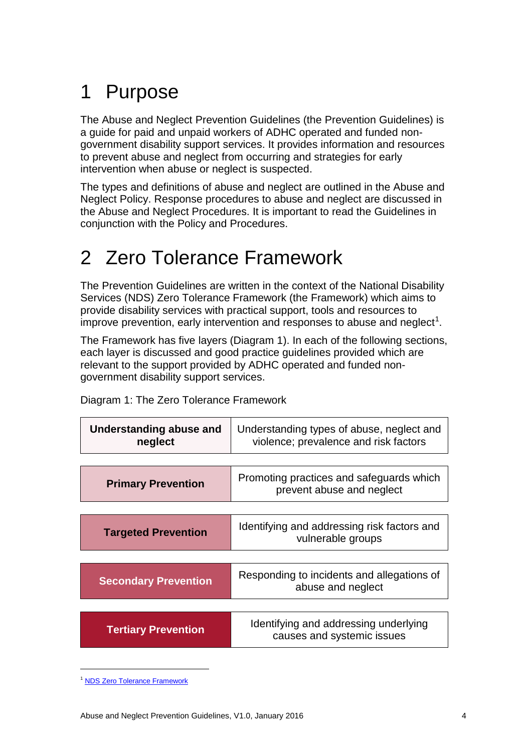# <span id="page-5-0"></span>1 Purpose

The Abuse and Neglect Prevention Guidelines (the Prevention Guidelines) is a guide for paid and unpaid workers of ADHC operated and funded nongovernment disability support services. It provides information and resources to prevent abuse and neglect from occurring and strategies for early intervention when abuse or neglect is suspected.

The types and definitions of abuse and neglect are outlined in the Abuse and Neglect Policy. Response procedures to abuse and neglect are discussed in the Abuse and Neglect Procedures. It is important to read the Guidelines in conjunction with the Policy and Procedures.

# <span id="page-5-1"></span>2 Zero Tolerance Framework

The Prevention Guidelines are written in the context of the National Disability Services (NDS) Zero Tolerance Framework (the Framework) which aims to provide disability services with practical support, tools and resources to improve prevention, early intervention and responses to abuse and neglect<sup>1</sup>.

The Framework has five layers (Diagram 1). In each of the following sections, each layer is discussed and good practice guidelines provided which are relevant to the support provided by ADHC operated and funded nongovernment disability support services.

| Understanding abuse and<br>neglect | Understanding types of abuse, neglect and<br>violence; prevalence and risk factors |
|------------------------------------|------------------------------------------------------------------------------------|
|                                    |                                                                                    |
| <b>Primary Prevention</b>          | Promoting practices and safeguards which<br>prevent abuse and neglect              |
|                                    |                                                                                    |
| <b>Targeted Prevention</b>         | Identifying and addressing risk factors and<br>vulnerable groups                   |
|                                    |                                                                                    |
| <b>Secondary Prevention</b>        | Responding to incidents and allegations of<br>abuse and neglect                    |
|                                    |                                                                                    |
| <b>Tertiary Prevention</b>         | Identifying and addressing underlying<br>causes and systemic issues                |

Diagram 1: The Zero Tolerance Framework

<sup>&</sup>lt;sup>1</sup> [NDS Zero Tolerance Framework](http://www.nds.org.au/projects/article/194)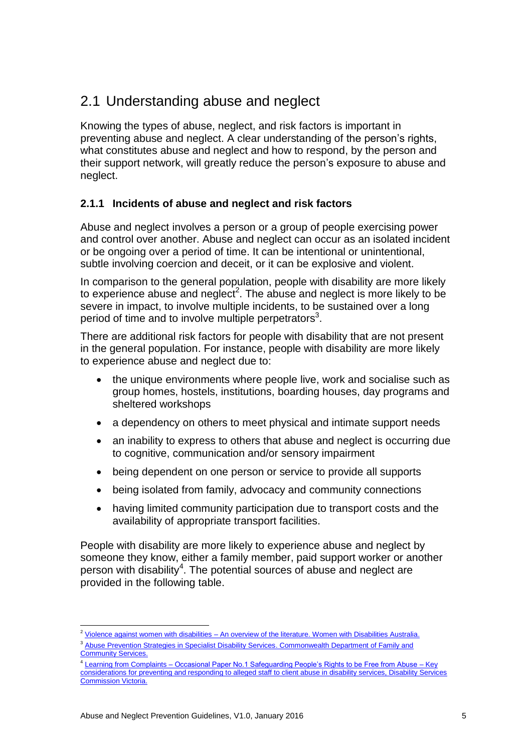## <span id="page-6-0"></span>2.1 Understanding abuse and neglect

Knowing the types of abuse, neglect, and risk factors is important in preventing abuse and neglect. A clear understanding of the person's rights, what constitutes abuse and neglect and how to respond, by the person and their support network, will greatly reduce the person's exposure to abuse and neglect.

#### **2.1.1 Incidents of abuse and neglect and risk factors**

Abuse and neglect involves a person or a group of people exercising power and control over another. Abuse and neglect can occur as an isolated incident or be ongoing over a period of time. It can be intentional or unintentional, subtle involving coercion and deceit, or it can be explosive and violent.

In comparison to the general population, people with disability are more likely to experience abuse and neglect<sup>2</sup>. The abuse and neglect is more likely to be severe in impact, to involve multiple incidents, to be sustained over a long period of time and to involve multiple perpetrators<sup>3</sup>.

There are additional risk factors for people with disability that are not present in the general population. For instance, people with disability are more likely to experience abuse and neglect due to:

- the unique environments where people live, work and socialise such as group homes, hostels, institutions, boarding houses, day programs and sheltered workshops
- a dependency on others to meet physical and intimate support needs
- an inability to express to others that abuse and neglect is occurring due to cognitive, communication and/or sensory impairment
- being dependent on one person or service to provide all supports
- being isolated from family, advocacy and community connections
- having limited community participation due to transport costs and the availability of appropriate transport facilities.

People with disability are more likely to experience abuse and neglect by someone they know, either a family member, paid support worker or another person with disability<sup>4</sup>. The potential sources of abuse and neglect are provided in the following table.

<sup>1</sup> <sup>2</sup> [Violence against women with disabilities – An overview of the literature. Women with Disabilities Australia.](http://wwda.org.au/issues/viol/viol1995/keran/)

<sup>&</sup>lt;sup>3</sup> Abuse Prevention Strategies in Specialist Disability Services. Commonwealth Department of Family and [Community Services.](http://www.nucleusgroup.com.au/downloads/abusePrevention2002.pdf)

<sup>&</sup>lt;sup>4</sup> Learning from Complaints – Occasional Paper No.1 Safeguarding People's Rights to be Free from Abuse – Key [considerations for preventing and responding to alleged staff to client abuse in disability services, Disability Services](http://odsc.vic.gov.au/public/editor_images/annual%20reports/dsc_occ_paper_no_1.pdf)  [Commission Victoria.](http://odsc.vic.gov.au/public/editor_images/annual%20reports/dsc_occ_paper_no_1.pdf)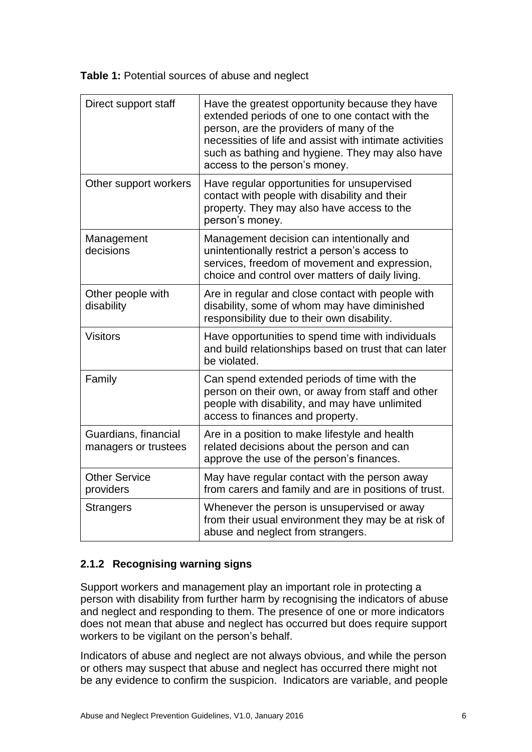**Table 1:** Potential sources of abuse and neglect

| Direct support staff                         | Have the greatest opportunity because they have<br>extended periods of one to one contact with the<br>person, are the providers of many of the<br>necessities of life and assist with intimate activities<br>such as bathing and hygiene. They may also have<br>access to the person's money. |
|----------------------------------------------|-----------------------------------------------------------------------------------------------------------------------------------------------------------------------------------------------------------------------------------------------------------------------------------------------|
| Other support workers                        | Have regular opportunities for unsupervised<br>contact with people with disability and their<br>property. They may also have access to the<br>person's money.                                                                                                                                 |
| Management<br>decisions                      | Management decision can intentionally and<br>unintentionally restrict a person's access to<br>services, freedom of movement and expression,<br>choice and control over matters of daily living.                                                                                               |
| Other people with<br>disability              | Are in regular and close contact with people with<br>disability, some of whom may have diminished<br>responsibility due to their own disability.                                                                                                                                              |
| <b>Visitors</b>                              | Have opportunities to spend time with individuals<br>and build relationships based on trust that can later<br>be violated.                                                                                                                                                                    |
| Family                                       | Can spend extended periods of time with the<br>person on their own, or away from staff and other<br>people with disability, and may have unlimited<br>access to finances and property.                                                                                                        |
| Guardians, financial<br>managers or trustees | Are in a position to make lifestyle and health<br>related decisions about the person and can<br>approve the use of the person's finances.                                                                                                                                                     |
| <b>Other Service</b><br>providers            | May have regular contact with the person away<br>from carers and family and are in positions of trust.                                                                                                                                                                                        |
| <b>Strangers</b>                             | Whenever the person is unsupervised or away<br>from their usual environment they may be at risk of<br>abuse and neglect from strangers.                                                                                                                                                       |

#### **2.1.2 Recognising warning signs**

Support workers and management play an important role in protecting a person with disability from further harm by recognising the indicators of abuse and neglect and responding to them. The presence of one or more indicators does not mean that abuse and neglect has occurred but does require support workers to be vigilant on the person's behalf.

Indicators of abuse and neglect are not always obvious, and while the person or others may suspect that abuse and neglect has occurred there might not be any evidence to confirm the suspicion. Indicators are variable, and people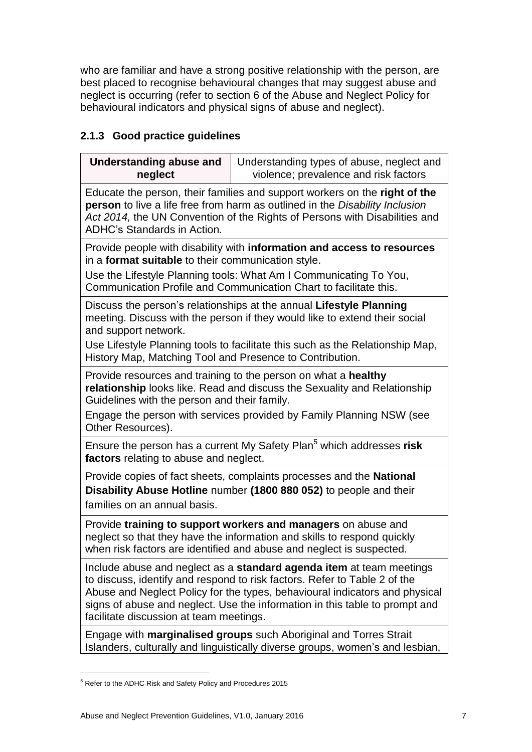who are familiar and have a strong positive relationship with the person, are best placed to recognise behavioural changes that may suggest abuse and neglect is occurring (refer to section 6 of the Abuse and Neglect Policy for behavioural indicators and physical signs of abuse and neglect).

#### **2.1.3 Good practice guidelines**

| <b>Understanding abuse and</b><br>neglect                                                                                                                                                                                                                                                                                                                  | Understanding types of abuse, neglect and<br>violence; prevalence and risk factors                                                                                                                                                 |  |
|------------------------------------------------------------------------------------------------------------------------------------------------------------------------------------------------------------------------------------------------------------------------------------------------------------------------------------------------------------|------------------------------------------------------------------------------------------------------------------------------------------------------------------------------------------------------------------------------------|--|
| Educate the person, their families and support workers on the right of the<br>person to live a life free from harm as outlined in the Disability Inclusion<br>Act 2014, the UN Convention of the Rights of Persons with Disabilities and<br><b>ADHC's Standards in Action.</b>                                                                             |                                                                                                                                                                                                                                    |  |
| in a <b>format suitable</b> to their communication style.                                                                                                                                                                                                                                                                                                  | Provide people with disability with information and access to resources                                                                                                                                                            |  |
|                                                                                                                                                                                                                                                                                                                                                            | Use the Lifestyle Planning tools: What Am I Communicating To You,<br>Communication Profile and Communication Chart to facilitate this.                                                                                             |  |
| and support network.<br>History Map, Matching Tool and Presence to Contribution.                                                                                                                                                                                                                                                                           | Discuss the person's relationships at the annual Lifestyle Planning<br>meeting. Discuss with the person if they would like to extend their social<br>Use Lifestyle Planning tools to facilitate this such as the Relationship Map, |  |
| Provide resources and training to the person on what a healthy<br>relationship looks like. Read and discuss the Sexuality and Relationship<br>Guidelines with the person and their family.<br>Engage the person with services provided by Family Planning NSW (see<br>Other Resources).                                                                    |                                                                                                                                                                                                                                    |  |
| factors relating to abuse and neglect.                                                                                                                                                                                                                                                                                                                     | Ensure the person has a current My Safety Plan <sup>5</sup> which addresses risk                                                                                                                                                   |  |
| families on an annual basis.                                                                                                                                                                                                                                                                                                                               | Provide copies of fact sheets, complaints processes and the <b>National</b><br>Disability Abuse Hotline number (1800 880 052) to people and their                                                                                  |  |
| Provide training to support workers and managers on abuse and<br>neglect so that they have the information and skills to respond quickly<br>when risk factors are identified and abuse and neglect is suspected.                                                                                                                                           |                                                                                                                                                                                                                                    |  |
| Include abuse and neglect as a standard agenda item at team meetings<br>to discuss, identify and respond to risk factors. Refer to Table 2 of the<br>Abuse and Neglect Policy for the types, behavioural indicators and physical<br>signs of abuse and neglect. Use the information in this table to prompt and<br>facilitate discussion at team meetings. |                                                                                                                                                                                                                                    |  |
|                                                                                                                                                                                                                                                                                                                                                            | Engage with marginalised groups such Aboriginal and Torres Strait<br>Islanders, culturally and linguistically diverse groups, women's and lesbian,                                                                                 |  |

<sup>5</sup> Refer to the ADHC Risk and Safety Policy and Procedures 2015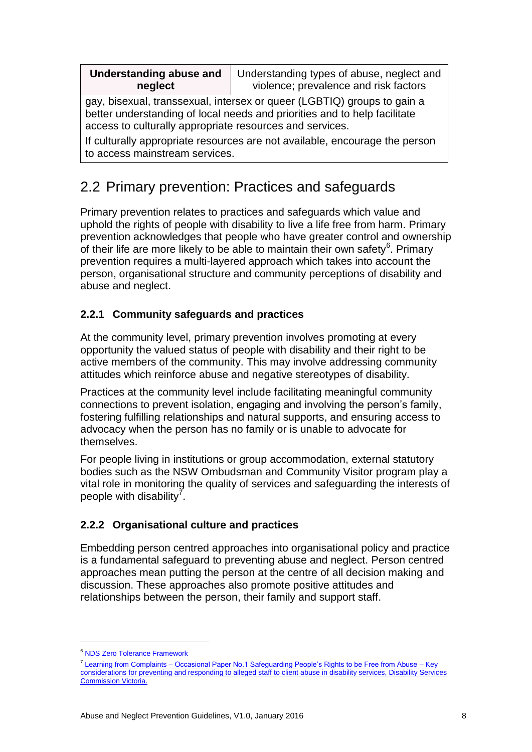| <b>Understanding abuse and</b><br>neglect                                                                                                                                                                        | Understanding types of abuse, neglect and<br>violence; prevalence and risk factors |  |
|------------------------------------------------------------------------------------------------------------------------------------------------------------------------------------------------------------------|------------------------------------------------------------------------------------|--|
| gay, bisexual, transsexual, intersex or queer (LGBTIQ) groups to gain a<br>better understanding of local needs and priorities and to help facilitate<br>access to culturally appropriate resources and services. |                                                                                    |  |
| If culturally appropriate resources are not available, encourage the person<br>to access mainstream services.                                                                                                    |                                                                                    |  |

# <span id="page-9-0"></span>2.2 Primary prevention: Practices and safeguards

Primary prevention relates to practices and safeguards which value and uphold the rights of people with disability to live a life free from harm. Primary prevention acknowledges that people who have greater control and ownership of their life are more likely to be able to maintain their own safety $6$ . Primary prevention requires a multi-layered approach which takes into account the person, organisational structure and community perceptions of disability and abuse and neglect.

#### **2.2.1 Community safeguards and practices**

At the community level, primary prevention involves promoting at every opportunity the valued status of people with disability and their right to be active members of the community. This may involve addressing community attitudes which reinforce abuse and negative stereotypes of disability.

Practices at the community level include facilitating meaningful community connections to prevent isolation, engaging and involving the person's family, fostering fulfilling relationships and natural supports, and ensuring access to advocacy when the person has no family or is unable to advocate for themselves.

For people living in institutions or group accommodation, external statutory bodies such as the NSW Ombudsman and Community Visitor program play a vital role in monitoring the quality of services and safeguarding the interests of people with disability<sup>7</sup>.

#### **2.2.2 Organisational culture and practices**

Embedding person centred approaches into organisational policy and practice is a fundamental safeguard to preventing abuse and neglect. Person centred approaches mean putting the person at the centre of all decision making and discussion. These approaches also promote positive attitudes and relationships between the person, their family and support staff.

<sup>&</sup>lt;sup>6</sup> [NDS Zero Tolerance Framework](http://www.nds.org.au/projects/article/194)

<sup>&</sup>lt;sup>7</sup> Learning from Complaints – Occasional Paper No.1 Safeguarding People's Rights to be Free from Abuse – Key [considerations for preventing and responding to alleged staff to client abuse in disability services, Disability Services](http://odsc.vic.gov.au/public/editor_images/annual%20reports/dsc_occ_paper_no_1.pdf)  [Commission Victoria.](http://odsc.vic.gov.au/public/editor_images/annual%20reports/dsc_occ_paper_no_1.pdf)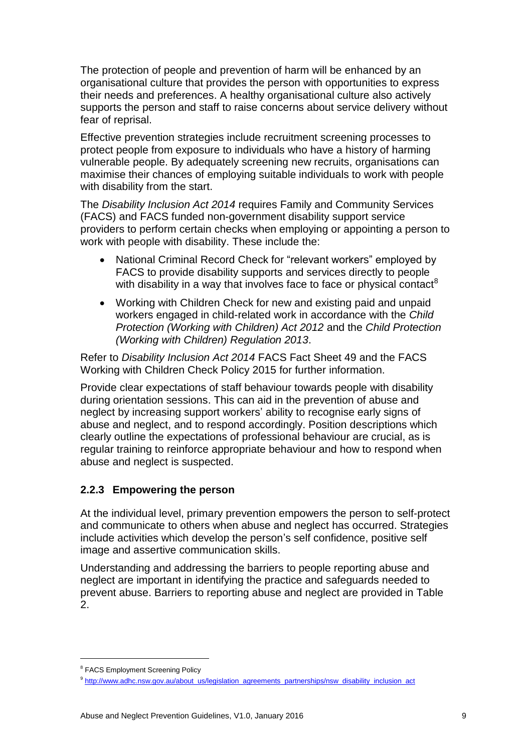The protection of people and prevention of harm will be enhanced by an organisational culture that provides the person with opportunities to express their needs and preferences. A healthy organisational culture also actively supports the person and staff to raise concerns about service delivery without fear of reprisal.

Effective prevention strategies include recruitment screening processes to protect people from exposure to individuals who have a history of harming vulnerable people. By adequately screening new recruits, organisations can maximise their chances of employing suitable individuals to work with people with disability from the start.

The *Disability Inclusion Act 2014* requires Family and Community Services (FACS) and FACS funded non-government disability support service providers to perform certain checks when employing or appointing a person to work with people with disability. These include the:

- National Criminal Record Check for "relevant workers" employed by FACS to provide disability supports and services directly to people with disability in a way that involves face to face or physical contact<sup>8</sup>
- Working with Children Check for new and existing paid and unpaid workers engaged in child-related work in accordance with the *Child Protection (Working with Children) Act 2012* and the *Child Protection (Working with Children) Regulation 2013*.

Refer to *Disability Inclusion Act 2014* FACS Fact Sheet 49 and the FACS Working with Children Check Policy 2015 for further information.

Provide clear expectations of staff behaviour towards people with disability during orientation sessions. This can aid in the prevention of abuse and neglect by increasing support workers' ability to recognise early signs of abuse and neglect, and to respond accordingly. Position descriptions which clearly outline the expectations of professional behaviour are crucial, as is regular training to reinforce appropriate behaviour and how to respond when abuse and neglect is suspected.

#### **2.2.3 Empowering the person**

At the individual level, primary prevention empowers the person to self-protect and communicate to others when abuse and neglect has occurred. Strategies include activities which develop the person's self confidence, positive self image and assertive communication skills.

Understanding and addressing the barriers to people reporting abuse and neglect are important in identifying the practice and safeguards needed to prevent abuse. Barriers to reporting abuse and neglect are provided in Table 2.

<sup>&</sup>lt;sup>8</sup> FACS Employment Screening Policy

<sup>&</sup>lt;sup>9</sup> [http://www.adhc.nsw.gov.au/about\\_us/legislation\\_agreements\\_partnerships/nsw\\_disability\\_inclusion\\_act](http://www.adhc.nsw.gov.au/about_us/legislation_agreements_partnerships/nsw_disability_inclusion_act)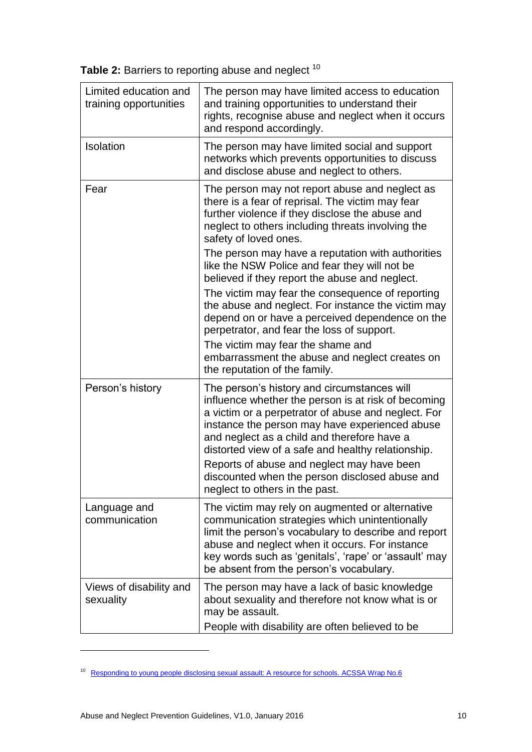| Table 2: Barriers to reporting abuse and neglect 10 |  |
|-----------------------------------------------------|--|
|-----------------------------------------------------|--|

| Limited education and<br>training opportunities | The person may have limited access to education<br>and training opportunities to understand their<br>rights, recognise abuse and neglect when it occurs<br>and respond accordingly.                                                                                                                                                                                                                                                                |
|-------------------------------------------------|----------------------------------------------------------------------------------------------------------------------------------------------------------------------------------------------------------------------------------------------------------------------------------------------------------------------------------------------------------------------------------------------------------------------------------------------------|
| <b>Isolation</b>                                | The person may have limited social and support<br>networks which prevents opportunities to discuss<br>and disclose abuse and neglect to others.                                                                                                                                                                                                                                                                                                    |
| Fear                                            | The person may not report abuse and neglect as<br>there is a fear of reprisal. The victim may fear<br>further violence if they disclose the abuse and<br>neglect to others including threats involving the<br>safety of loved ones.                                                                                                                                                                                                                |
|                                                 | The person may have a reputation with authorities<br>like the NSW Police and fear they will not be<br>believed if they report the abuse and neglect.                                                                                                                                                                                                                                                                                               |
|                                                 | The victim may fear the consequence of reporting<br>the abuse and neglect. For instance the victim may<br>depend on or have a perceived dependence on the<br>perpetrator, and fear the loss of support.                                                                                                                                                                                                                                            |
|                                                 | The victim may fear the shame and<br>embarrassment the abuse and neglect creates on<br>the reputation of the family.                                                                                                                                                                                                                                                                                                                               |
| Person's history                                | The person's history and circumstances will<br>influence whether the person is at risk of becoming<br>a victim or a perpetrator of abuse and neglect. For<br>instance the person may have experienced abuse<br>and neglect as a child and therefore have a<br>distorted view of a safe and healthy relationship.<br>Reports of abuse and neglect may have been<br>discounted when the person disclosed abuse and<br>neglect to others in the past. |
| Language and<br>communication                   | The victim may rely on augmented or alternative<br>communication strategies which unintentionally<br>limit the person's vocabulary to describe and report<br>abuse and neglect when it occurs. For instance<br>key words such as 'genitals', 'rape' or 'assault' may<br>be absent from the person's vocabulary.                                                                                                                                    |
| Views of disability and<br>sexuality            | The person may have a lack of basic knowledge<br>about sexuality and therefore not know what is or<br>may be assault.<br>People with disability are often believed to be                                                                                                                                                                                                                                                                           |

<sup>&</sup>lt;sup>10</sup> [Responding to young people disclosing sexual assault: A resource for schools. ACSSA Wrap No.6](http://www.aifs.gov.au/acssa/pubs/wrap/w6.html#what)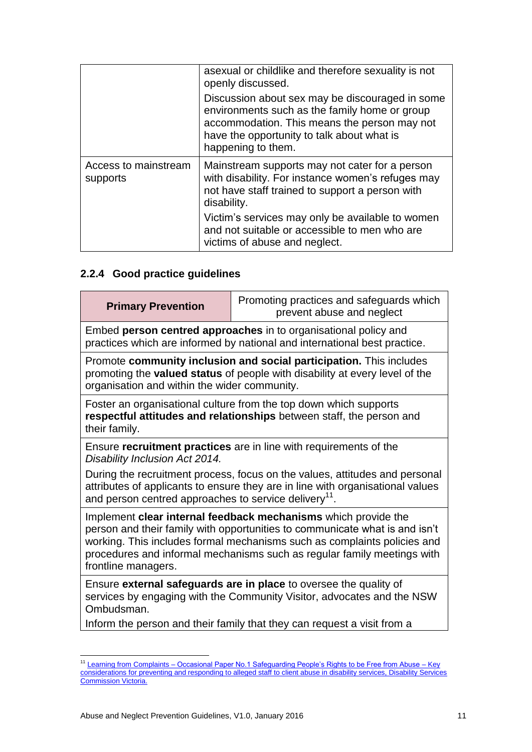|                                  | asexual or childlike and therefore sexuality is not<br>openly discussed.                                                                                                                                             |
|----------------------------------|----------------------------------------------------------------------------------------------------------------------------------------------------------------------------------------------------------------------|
|                                  | Discussion about sex may be discouraged in some<br>environments such as the family home or group<br>accommodation. This means the person may not<br>have the opportunity to talk about what is<br>happening to them. |
| Access to mainstream<br>supports | Mainstream supports may not cater for a person<br>with disability. For instance women's refuges may<br>not have staff trained to support a person with<br>disability.                                                |
|                                  | Victim's services may only be available to women<br>and not suitable or accessible to men who are<br>victims of abuse and neglect.                                                                                   |

### **2.2.4 Good practice guidelines**

| <b>Primary Prevention</b>                                                                                                                                                                                                                                                                                                   | Promoting practices and safeguards which<br>prevent abuse and neglect                                                                        |  |
|-----------------------------------------------------------------------------------------------------------------------------------------------------------------------------------------------------------------------------------------------------------------------------------------------------------------------------|----------------------------------------------------------------------------------------------------------------------------------------------|--|
|                                                                                                                                                                                                                                                                                                                             | Embed person centred approaches in to organisational policy and<br>practices which are informed by national and international best practice. |  |
| Promote community inclusion and social participation. This includes<br>promoting the valued status of people with disability at every level of the<br>organisation and within the wider community.                                                                                                                          |                                                                                                                                              |  |
| Foster an organisational culture from the top down which supports<br>respectful attitudes and relationships between staff, the person and<br>their family.                                                                                                                                                                  |                                                                                                                                              |  |
| Ensure recruitment practices are in line with requirements of the<br>Disability Inclusion Act 2014.                                                                                                                                                                                                                         |                                                                                                                                              |  |
| During the recruitment process, focus on the values, attitudes and personal<br>attributes of applicants to ensure they are in line with organisational values<br>and person centred approaches to service delivery <sup>11</sup> .                                                                                          |                                                                                                                                              |  |
| Implement clear internal feedback mechanisms which provide the<br>person and their family with opportunities to communicate what is and isn't<br>working. This includes formal mechanisms such as complaints policies and<br>procedures and informal mechanisms such as regular family meetings with<br>frontline managers. |                                                                                                                                              |  |
| Ensure external safeguards are in place to oversee the quality of<br>services by engaging with the Community Visitor, advocates and the NSW<br>Ombudsman.                                                                                                                                                                   |                                                                                                                                              |  |
|                                                                                                                                                                                                                                                                                                                             | Inform the person and their family that they can request a visit from a                                                                      |  |
|                                                                                                                                                                                                                                                                                                                             |                                                                                                                                              |  |

<sup>1</sup> <sup>11</sup> Learning from Complaints – Occasional Paper No.1 Safeguarding People's Rights to be Free from Abuse – Key [considerations for preventing and responding to alleged staff to client abuse in disability services, Disability Services](http://odsc.vic.gov.au/public/editor_images/annual%20reports/dsc_occ_paper_no_1.pdf)  [Commission Victoria.](http://odsc.vic.gov.au/public/editor_images/annual%20reports/dsc_occ_paper_no_1.pdf)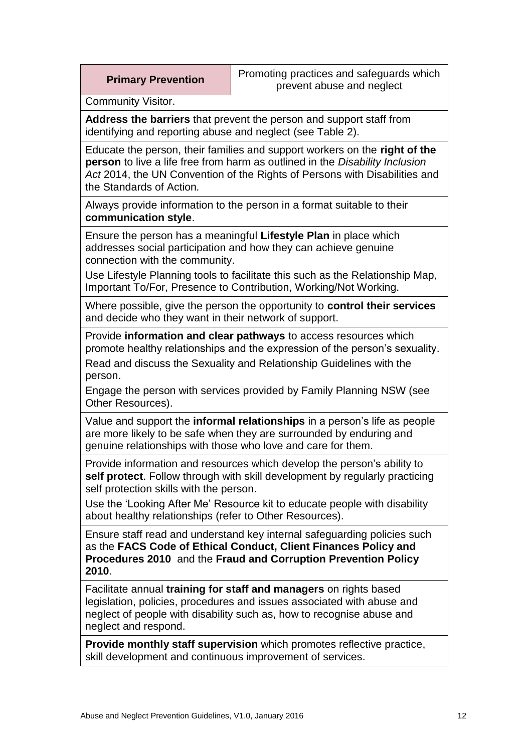|  |  | <b>Primary Prevention</b> |
|--|--|---------------------------|
|--|--|---------------------------|

Community Visitor.

**Address the barriers** that prevent the person and support staff from identifying and reporting abuse and neglect (see Table 2).

Educate the person, their families and support workers on the **right of the person** to live a life free from harm as outlined in the *Disability Inclusion Act* 2014, the UN Convention of the Rights of Persons with Disabilities and the Standards of Action*.*

Always provide information to the person in a format suitable to their **communication style**.

Ensure the person has a meaningful **Lifestyle Plan** in place which addresses social participation and how they can achieve genuine connection with the community.

Use Lifestyle Planning tools to facilitate this such as the Relationship Map, Important To/For, Presence to Contribution, Working/Not Working.

Where possible, give the person the opportunity to **control their services**  and decide who they want in their network of support.

Provide **information and clear pathways** to access resources which promote healthy relationships and the expression of the person's sexuality. Read and discuss the Sexuality and Relationship Guidelines with the person.

Engage the person with services provided by Family Planning NSW (see Other Resources).

Value and support the **informal relationships** in a person's life as people are more likely to be safe when they are surrounded by enduring and genuine relationships with those who love and care for them.

Provide information and resources which develop the person's ability to **self protect**. Follow through with skill development by regularly practicing self protection skills with the person.

Use the 'Looking After Me' Resource kit to educate people with disability about healthy relationships (refer to Other Resources).

Ensure staff read and understand key internal safeguarding policies such as the **FACS Code of Ethical Conduct, Client Finances Policy and Procedures 2010** and the **Fraud and Corruption Prevention Policy 2010**.

Facilitate annual **training for staff and managers** on rights based legislation, policies, procedures and issues associated with abuse and neglect of people with disability such as, how to recognise abuse and neglect and respond.

**Provide monthly staff supervision** which promotes reflective practice, skill development and continuous improvement of services.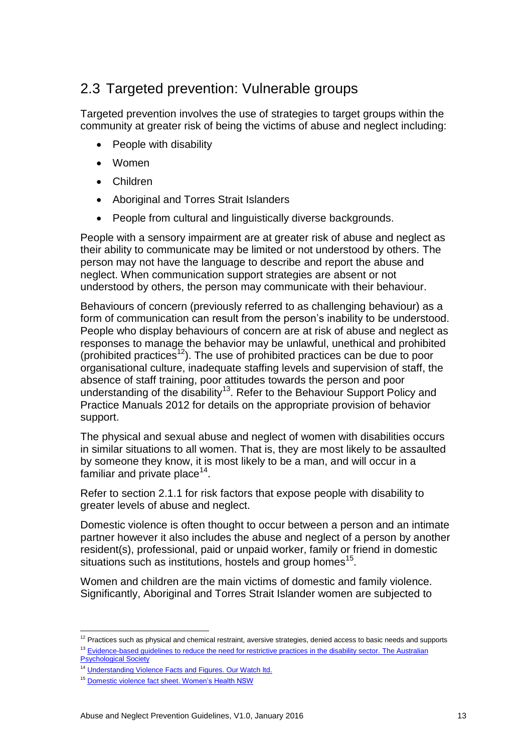## <span id="page-14-0"></span>2.3 Targeted prevention: Vulnerable groups

Targeted prevention involves the use of strategies to target groups within the community at greater risk of being the victims of abuse and neglect including:

- People with disability
- Women
- Children
- Aboriginal and Torres Strait Islanders
- People from cultural and linguistically diverse backgrounds.

People with a sensory impairment are at greater risk of abuse and neglect as their ability to communicate may be limited or not understood by others. The person may not have the language to describe and report the abuse and neglect. When communication support strategies are absent or not understood by others, the person may communicate with their behaviour.

Behaviours of concern (previously referred to as challenging behaviour) as a form of communication can result from the person's inability to be understood. People who display behaviours of concern are at risk of abuse and neglect as responses to manage the behavior may be unlawful, unethical and prohibited (prohibited practices<sup>12</sup>). The use of prohibited practices can be due to poor organisational culture, inadequate staffing levels and supervision of staff, the absence of staff training, poor attitudes towards the person and poor understanding of the disability<sup>13</sup>. Refer to the Behaviour Support Policy and Practice Manuals 2012 for details on the appropriate provision of behavior support.

The physical and sexual abuse and neglect of women with disabilities occurs in similar situations to all women. That is, they are most likely to be assaulted by someone they know, it is most likely to be a man, and will occur in a familiar and private place $^{14}$ .

Refer to section 2.1.1 for risk factors that expose people with disability to greater levels of abuse and neglect.

Domestic violence is often thought to occur between a person and an intimate partner however it also includes the abuse and neglect of a person by another resident(s), professional, paid or unpaid worker, family or friend in domestic situations such as institutions, hostels and group homes $^{15}$ .

Women and children are the main victims of domestic and family violence. Significantly, Aboriginal and Torres Strait Islander women are subjected to

<sup>1</sup>  $12$  Practices such as physical and chemical restraint, aversive strategies, denied access to basic needs and supports <sup>13</sup> Evidence-based guidelines to reduce the need for restrictive practices in the disability sector. The Australian [Psychological Society](https://www.psychology.org.au/Assets/Files/Restrictive-Practices-Guidelines-for-Psychologists.pdf)

<sup>&</sup>lt;sup>14</sup> [Understanding Violence Facts and Figures. Our Watch ltd.](http://www.ourwatch.org.au/Understanding-Violence/Facts-and-figures#WWDA)

<sup>&</sup>lt;sup>15</sup> [Domestic violence fact sheet. Women's Health NSW](http://www.whnsw.asn.au/PDFs/Domestic_Violence_Factsheet.pdf)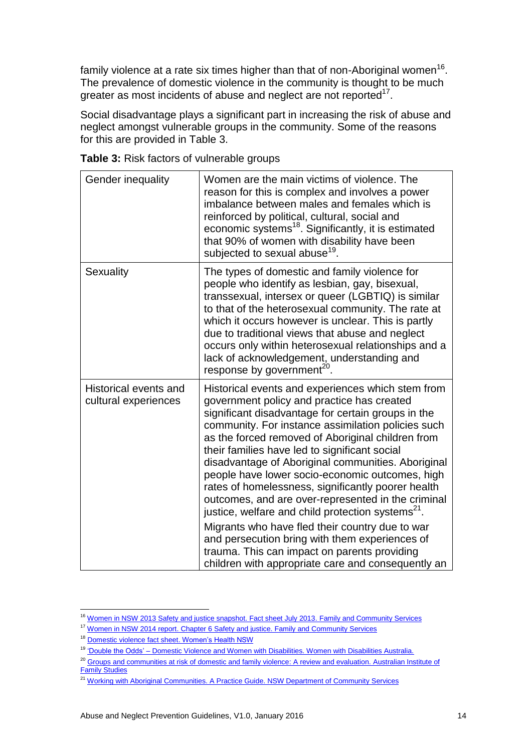family violence at a rate six times higher than that of non-Aboriginal women $^{16}$ . The prevalence of domestic violence in the community is thought to be much greater as most incidents of abuse and neglect are not reported $17$ .

Social disadvantage plays a significant part in increasing the risk of abuse and neglect amongst vulnerable groups in the community. Some of the reasons for this are provided in Table 3.

| <b>Gender inequality</b>                      | Women are the main victims of violence. The<br>reason for this is complex and involves a power<br>imbalance between males and females which is<br>reinforced by political, cultural, social and<br>economic systems <sup>18</sup> . Significantly, it is estimated<br>that 90% of women with disability have been<br>subjected to sexual abuse <sup>19</sup> .                                                                                                                                                                                                                                                                                                                                                                                                                                                     |
|-----------------------------------------------|--------------------------------------------------------------------------------------------------------------------------------------------------------------------------------------------------------------------------------------------------------------------------------------------------------------------------------------------------------------------------------------------------------------------------------------------------------------------------------------------------------------------------------------------------------------------------------------------------------------------------------------------------------------------------------------------------------------------------------------------------------------------------------------------------------------------|
| Sexuality                                     | The types of domestic and family violence for<br>people who identify as lesbian, gay, bisexual,<br>transsexual, intersex or queer (LGBTIQ) is similar<br>to that of the heterosexual community. The rate at<br>which it occurs however is unclear. This is partly<br>due to traditional views that abuse and neglect<br>occurs only within heterosexual relationships and a<br>lack of acknowledgement, understanding and<br>response by government <sup>20</sup> .                                                                                                                                                                                                                                                                                                                                                |
| Historical events and<br>cultural experiences | Historical events and experiences which stem from<br>government policy and practice has created<br>significant disadvantage for certain groups in the<br>community. For instance assimilation policies such<br>as the forced removed of Aboriginal children from<br>their families have led to significant social<br>disadvantage of Aboriginal communities. Aboriginal<br>people have lower socio-economic outcomes, high<br>rates of homelessness, significantly poorer health<br>outcomes, and are over-represented in the criminal<br>justice, welfare and child protection systems <sup>21</sup> .<br>Migrants who have fled their country due to war<br>and persecution bring with them experiences of<br>trauma. This can impact on parents providing<br>children with appropriate care and consequently an |

**Table 3:** Risk factors of vulnerable groups

<sup>1</sup> <sup>16</sup> [Women in NSW 2013 Safety and justice snapshot. Fact sheet July 2013. Family and Community Services](https://www.women.nsw.gov.au/__data/assets/pdf_file/0018/274104/Safety_and_Justice_factsheet.pdf)

<sup>&</sup>lt;sup>17</sup> Women in NSW 2014 report. Chapter 6 Safety and justice. Family and Community Services

<sup>&</sup>lt;sup>18</sup> [Domestic violence fact sheet. Women's Health NSW](http://www.whnsw.asn.au/PDFs/Domestic_Violence_Factsheet.pdf)

<sup>19</sup> ['Double the Odds' – Domestic Violence and Women with Disabilities. Women with Disabilities Australia.](http://wwda.org.au/issues/viol/viol2001/odds/)

<sup>&</sup>lt;sup>20</sup> Groups and communities at risk of domestic and family violence: A review and evaluation. Australian Institute of [Family Studies](https://www.women.nsw.gov.au/__data/assets/file/0012/300621/PDF_4_Full_Report_At_risk_groups.pdf)

<sup>&</sup>lt;sup>21</sup> Working with Aboriginal Communities. A Practice Guide. NSW Department of Community Services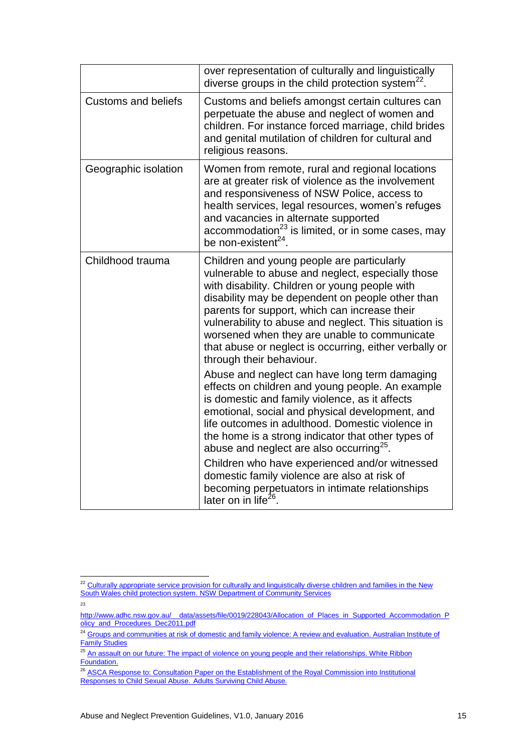|                            | over representation of culturally and linguistically<br>diverse groups in the child protection system <sup>22</sup> .                                                                                                                                                                                                                                                                                                                                 |
|----------------------------|-------------------------------------------------------------------------------------------------------------------------------------------------------------------------------------------------------------------------------------------------------------------------------------------------------------------------------------------------------------------------------------------------------------------------------------------------------|
| <b>Customs and beliefs</b> | Customs and beliefs amongst certain cultures can<br>perpetuate the abuse and neglect of women and<br>children. For instance forced marriage, child brides<br>and genital mutilation of children for cultural and<br>religious reasons.                                                                                                                                                                                                                |
| Geographic isolation       | Women from remote, rural and regional locations<br>are at greater risk of violence as the involvement<br>and responsiveness of NSW Police, access to<br>health services, legal resources, women's refuges<br>and vacancies in alternate supported<br>accommodation <sup>23</sup> is limited, or in some cases, may<br>be non-existent <sup>24</sup> .                                                                                                 |
| Childhood trauma           | Children and young people are particularly<br>vulnerable to abuse and neglect, especially those<br>with disability. Children or young people with<br>disability may be dependent on people other than<br>parents for support, which can increase their<br>vulnerability to abuse and neglect. This situation is<br>worsened when they are unable to communicate<br>that abuse or neglect is occurring, either verbally or<br>through their behaviour. |
|                            | Abuse and neglect can have long term damaging<br>effects on children and young people. An example<br>is domestic and family violence, as it affects<br>emotional, social and physical development, and<br>life outcomes in adulthood. Domestic violence in<br>the home is a strong indicator that other types of<br>abuse and neglect are also occurring <sup>25</sup> .                                                                              |
|                            | Children who have experienced and/or witnessed<br>domestic family violence are also at risk of<br>becoming perpetuators in intimate relationships<br>later on in life <sup>26</sup> .                                                                                                                                                                                                                                                                 |

23

<u>.</u>

 $22$  Culturally appropriate service provision for culturally and linguistically diverse children and families in the New [South Wales child protection system. NSW Department of Community Services](http://www.community.nsw.gov.au/docswr/_assets/main/documents/reasearch_cald_families.pdf)

[http://www.adhc.nsw.gov.au/\\_\\_data/assets/file/0019/228043/Allocation\\_of\\_Places\\_in\\_Supported\\_Accommodation\\_P](http://www.adhc.nsw.gov.au/__data/assets/file/0019/228043/Allocation_of_Places_in_Supported_Accommodation_Policy_and_Procedures_Dec2011.pdf) [olicy\\_and\\_Procedures\\_Dec2011.pdf](http://www.adhc.nsw.gov.au/__data/assets/file/0019/228043/Allocation_of_Places_in_Supported_Accommodation_Policy_and_Procedures_Dec2011.pdf)

<sup>24</sup> Groups and communities at risk of domestic and family violence: A review and evaluation. Australian Institute of **[Family Studies](https://www.women.nsw.gov.au/__data/assets/file/0012/300621/PDF_4_Full_Report_At_risk_groups.pdf)** 

<sup>&</sup>lt;sup>25</sup> An assault on our future: The impact of violence on young people and their relationships. White Ribbon [Foundation.](http://www.whiteribbon.org.au/uploads/media/Research_series/An_assault_on_our_future_FULL_Flood__Fergus_2010.pdf)

<sup>&</sup>lt;sup>26</sup> ASCA Response to: Consultation Paper on the Establishment of the Royal Commission into Institutional [Responses to Child Sexual Abuse.](http://www.asca.org.au/Portals/2/ASCA%20-%20response%20to%20Consultation%20Royal%20Commission.pdf) Adults Surviving Child Abuse.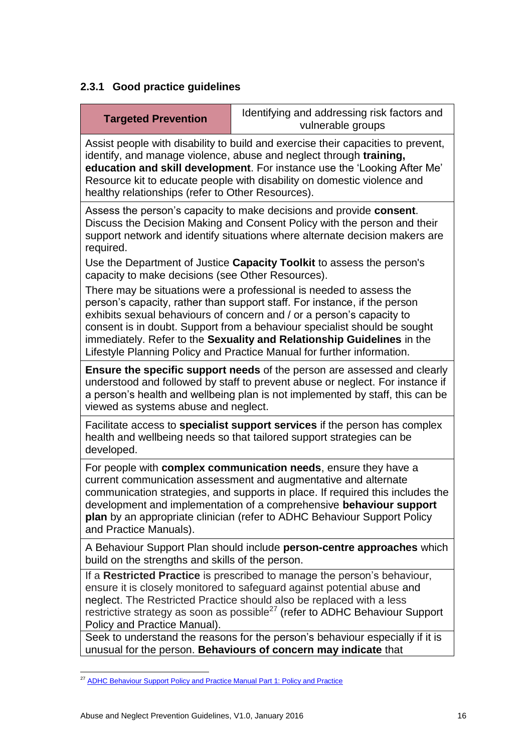### **2.3.1 Good practice guidelines**

| <b>Targeted Prevention</b>                                                                                                                                                                                                                                                                                                                                                                                                                                 | Identifying and addressing risk factors and<br>vulnerable groups                                                                                                                                                                                                                                                       |  |  |
|------------------------------------------------------------------------------------------------------------------------------------------------------------------------------------------------------------------------------------------------------------------------------------------------------------------------------------------------------------------------------------------------------------------------------------------------------------|------------------------------------------------------------------------------------------------------------------------------------------------------------------------------------------------------------------------------------------------------------------------------------------------------------------------|--|--|
| Assist people with disability to build and exercise their capacities to prevent,<br>identify, and manage violence, abuse and neglect through training,<br>education and skill development. For instance use the 'Looking After Me'<br>Resource kit to educate people with disability on domestic violence and<br>healthy relationships (refer to Other Resources).                                                                                         |                                                                                                                                                                                                                                                                                                                        |  |  |
| Assess the person's capacity to make decisions and provide consent.<br>Discuss the Decision Making and Consent Policy with the person and their<br>support network and identify situations where alternate decision makers are<br>required.                                                                                                                                                                                                                |                                                                                                                                                                                                                                                                                                                        |  |  |
| Use the Department of Justice Capacity Toolkit to assess the person's<br>capacity to make decisions (see Other Resources).                                                                                                                                                                                                                                                                                                                                 |                                                                                                                                                                                                                                                                                                                        |  |  |
| There may be situations were a professional is needed to assess the<br>person's capacity, rather than support staff. For instance, if the person<br>exhibits sexual behaviours of concern and / or a person's capacity to<br>consent is in doubt. Support from a behaviour specialist should be sought<br>immediately. Refer to the Sexuality and Relationship Guidelines in the<br>Lifestyle Planning Policy and Practice Manual for further information. |                                                                                                                                                                                                                                                                                                                        |  |  |
| <b>Ensure the specific support needs</b> of the person are assessed and clearly<br>understood and followed by staff to prevent abuse or neglect. For instance if<br>a person's health and wellbeing plan is not implemented by staff, this can be<br>viewed as systems abuse and neglect.                                                                                                                                                                  |                                                                                                                                                                                                                                                                                                                        |  |  |
| developed.                                                                                                                                                                                                                                                                                                                                                                                                                                                 | Facilitate access to <b>specialist support services</b> if the person has complex<br>health and wellbeing needs so that tailored support strategies can be                                                                                                                                                             |  |  |
| For people with complex communication needs, ensure they have a<br>current communication assessment and augmentative and alternate<br>communication strategies, and supports in place. If required this includes the<br>development and implementation of a comprehensive behaviour support<br>plan by an appropriate clinician (refer to ADHC Behaviour Support Policy<br>and Practice Manuals).                                                          |                                                                                                                                                                                                                                                                                                                        |  |  |
| A Behaviour Support Plan should include person-centre approaches which<br>build on the strengths and skills of the person.                                                                                                                                                                                                                                                                                                                                 |                                                                                                                                                                                                                                                                                                                        |  |  |
| Policy and Practice Manual).                                                                                                                                                                                                                                                                                                                                                                                                                               | If a Restricted Practice is prescribed to manage the person's behaviour,<br>ensure it is closely monitored to safeguard against potential abuse and<br>neglect. The Restricted Practice should also be replaced with a less<br>restrictive strategy as soon as possible <sup>27</sup> (refer to ADHC Behaviour Support |  |  |
| Seek to understand the reasons for the person's behaviour especially if it is                                                                                                                                                                                                                                                                                                                                                                              |                                                                                                                                                                                                                                                                                                                        |  |  |

unusual for the person. **Behaviours of concern may indicate** that

<sup>1</sup> <sup>27</sup> [ADHC Behaviour Support Policy and Practice Manual Part 1: Policy and Practice](http://dadhc-intranet.nsw.gov.au/client_services/clinical_innovation/behaviour_support/behaviour_support_policy_and_practice_manual?assetid=215450)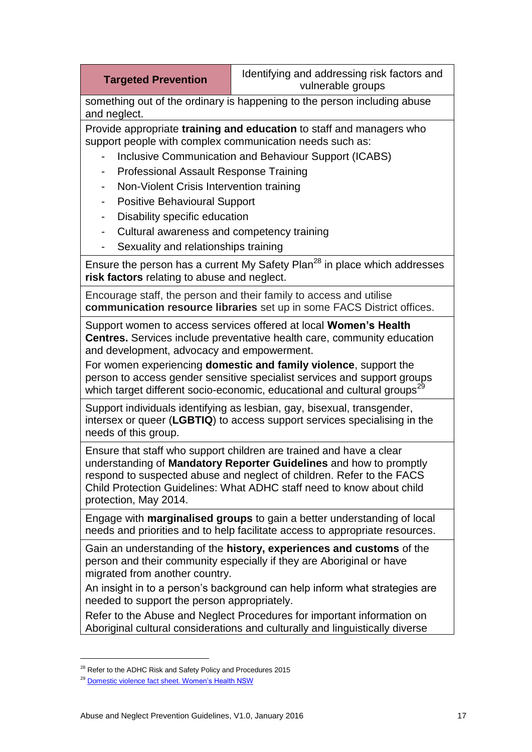#### **Targeted Prevention** | Identifying and addressing risk factors and vulnerable groups

something out of the ordinary is happening to the person including abuse and neglect.

Provide appropriate **training and education** to staff and managers who support people with complex communication needs such as:

- Inclusive Communication and Behaviour Support (ICABS)
- Professional Assault Response Training
- Non-Violent Crisis Intervention training
- Positive Behavioural Support
- Disability specific education
- Cultural awareness and competency training
- Sexuality and relationships training

Ensure the person has a current My Safety Plan<sup>28</sup> in place which addresses **risk factors** relating to abuse and neglect.

Encourage staff, the person and their family to access and utilise **communication resource libraries** set up in some FACS District offices.

Support women to access services offered at local **Women's Health Centres.** Services include preventative health care, community education and development, advocacy and empowerment.

For women experiencing **domestic and family violence**, support the person to access gender sensitive specialist services and support groups which target different socio-economic, educational and cultural groups<sup>2</sup>

Support individuals identifying as lesbian, gay, bisexual, transgender, intersex or queer (**LGBTIQ**) to access support services specialising in the needs of this group.

Ensure that staff who support children are trained and have a clear understanding of **Mandatory Reporter Guidelines** and how to promptly respond to suspected abuse and neglect of children. Refer to the FACS Child Protection Guidelines: What ADHC staff need to know about child protection, May 2014.

Engage with **marginalised groups** to gain a better understanding of local needs and priorities and to help facilitate access to appropriate resources.

Gain an understanding of the **history, experiences and customs** of the person and their community especially if they are Aboriginal or have migrated from another country.

An insight in to a person's background can help inform what strategies are needed to support the person appropriately.

Refer to the Abuse and Neglect Procedures for important information on Aboriginal cultural considerations and culturally and linguistically diverse

<sup>&</sup>lt;sup>28</sup> Refer to the ADHC Risk and Safety Policy and Procedures 2015

<sup>&</sup>lt;sup>29</sup> [Domestic violence fact sheet. Women's Health NSW](http://www.whnsw.asn.au/PDFs/Domestic_Violence_Factsheet.pdf)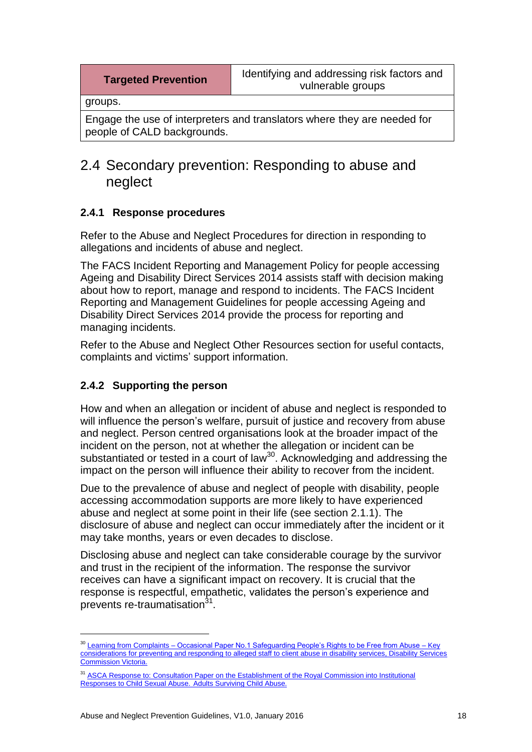groups.

Engage the use of interpreters and translators where they are needed for people of CALD backgrounds.

## <span id="page-19-0"></span>2.4 Secondary prevention: Responding to abuse and neglect

#### **2.4.1 Response procedures**

Refer to the Abuse and Neglect Procedures for direction in responding to allegations and incidents of abuse and neglect.

The FACS Incident Reporting and Management Policy for people accessing Ageing and Disability Direct Services 2014 assists staff with decision making about how to report, manage and respond to incidents. The FACS Incident Reporting and Management Guidelines for people accessing Ageing and Disability Direct Services 2014 provide the process for reporting and managing incidents.

Refer to the Abuse and Neglect Other Resources section for useful contacts, complaints and victims' support information.

#### **2.4.2 Supporting the person**

1

How and when an allegation or incident of abuse and neglect is responded to will influence the person's welfare, pursuit of justice and recovery from abuse and neglect. Person centred organisations look at the broader impact of the incident on the person, not at whether the allegation or incident can be substantiated or tested in a court of law<sup>30</sup>. Acknowledging and addressing the impact on the person will influence their ability to recover from the incident.

Due to the prevalence of abuse and neglect of people with disability, people accessing accommodation supports are more likely to have experienced abuse and neglect at some point in their life (see section 2.1.1). The disclosure of abuse and neglect can occur immediately after the incident or it may take months, years or even decades to disclose.

Disclosing abuse and neglect can take considerable courage by the survivor and trust in the recipient of the information. The response the survivor receives can have a significant impact on recovery. It is crucial that the response is respectful, empathetic, validates the person's experience and prevents re-traumatisation<sup>31</sup>.

<sup>&</sup>lt;sup>30</sup> Learning from Complaints – Occasional Paper No.1 Safeguarding People's Rights to be Free from Abuse – Key [considerations for preventing and responding to alleged staff to client abuse in disability services, Disability Services](http://odsc.vic.gov.au/public/editor_images/annual%20reports/dsc_occ_paper_no_1.pdf)  [Commission Victoria.](http://odsc.vic.gov.au/public/editor_images/annual%20reports/dsc_occ_paper_no_1.pdf)

<sup>&</sup>lt;sup>31</sup> ASCA Response to: Consultation Paper on the Establishment of the Royal Commission into Institutional [Responses to Child Sexual Abuse.](http://www.asca.org.au/Portals/2/ASCA%20-%20response%20to%20Consultation%20Royal%20Commission.pdf) Adults Surviving Child Abuse.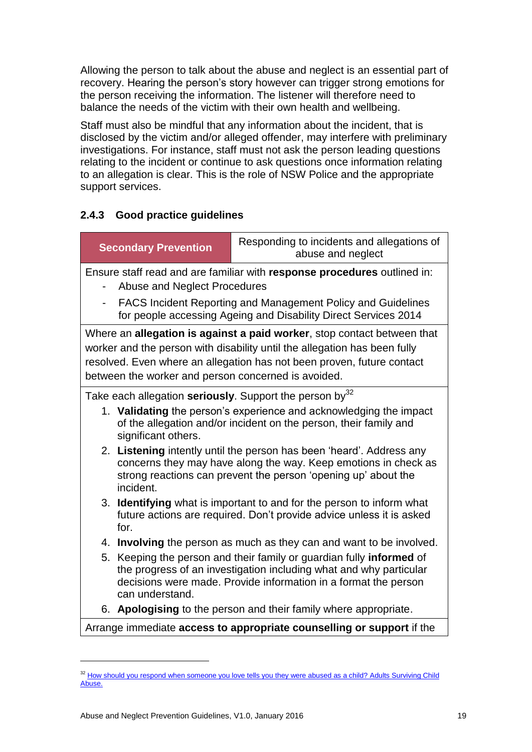Allowing the person to talk about the abuse and neglect is an essential part of recovery. Hearing the person's story however can trigger strong emotions for the person receiving the information. The listener will therefore need to balance the needs of the victim with their own health and wellbeing.

Staff must also be mindful that any information about the incident, that is disclosed by the victim and/or alleged offender, may interfere with preliminary investigations. For instance, staff must not ask the person leading questions relating to the incident or continue to ask questions once information relating to an allegation is clear. This is the role of NSW Police and the appropriate support services.

#### **2.4.3 Good practice guidelines**

| Ensure staff read and are familiar with response procedures outlined in:                                                                                                                                                                                                              |  |  |  |  |
|---------------------------------------------------------------------------------------------------------------------------------------------------------------------------------------------------------------------------------------------------------------------------------------|--|--|--|--|
| <b>Abuse and Neglect Procedures</b>                                                                                                                                                                                                                                                   |  |  |  |  |
| <b>FACS Incident Reporting and Management Policy and Guidelines</b><br>for people accessing Ageing and Disability Direct Services 2014                                                                                                                                                |  |  |  |  |
| Where an allegation is against a paid worker, stop contact between that<br>worker and the person with disability until the allegation has been fully<br>resolved. Even where an allegation has not been proven, future contact<br>between the worker and person concerned is avoided. |  |  |  |  |
| Take each allegation seriously. Support the person by <sup>32</sup>                                                                                                                                                                                                                   |  |  |  |  |
| 1. Validating the person's experience and acknowledging the impact<br>of the allegation and/or incident on the person, their family and<br>significant others.                                                                                                                        |  |  |  |  |
| 2. Listening intently until the person has been 'heard'. Address any<br>concerns they may have along the way. Keep emotions in check as<br>strong reactions can prevent the person 'opening up' about the<br>incident.                                                                |  |  |  |  |
| 3. Identifying what is important to and for the person to inform what<br>future actions are required. Don't provide advice unless it is asked<br>for.                                                                                                                                 |  |  |  |  |
| 4. Involving the person as much as they can and want to be involved.                                                                                                                                                                                                                  |  |  |  |  |
| Keeping the person and their family or guardian fully informed of<br>5.<br>the progress of an investigation including what and why particular<br>decisions were made. Provide information in a format the person<br>can understand.                                                   |  |  |  |  |
| 6. Apologising to the person and their family where appropriate.                                                                                                                                                                                                                      |  |  |  |  |
| Arrange immediate access to appropriate counselling or support if the                                                                                                                                                                                                                 |  |  |  |  |

<sup>&</sup>lt;sup>32</sup> How should you respond when someone you love tells you they were abused as a child? Adults Surviving Child [Abuse.](http://www.asca.org.au/Survivors/Role-of-carers-and-supporters/How-should-you-respond.aspx)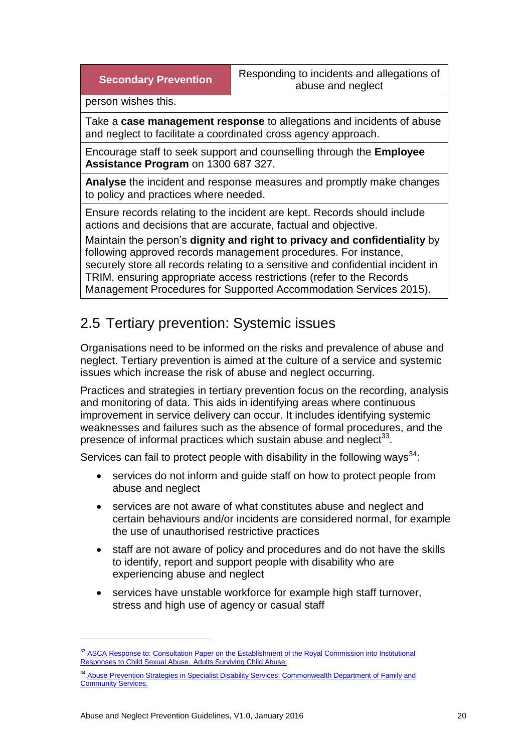**Secondary Prevention Responding to incidents and allegations of** abuse and neglect

person wishes this.

Take a **case management response** to allegations and incidents of abuse and neglect to facilitate a coordinated cross agency approach.

Encourage staff to seek support and counselling through the **Employee Assistance Program** on 1300 687 327.

**Analyse** the incident and response measures and promptly make changes to policy and practices where needed.

Ensure records relating to the incident are kept. Records should include actions and decisions that are accurate, factual and objective.

Maintain the person's **dignity and right to privacy and confidentiality** by following approved records management procedures. For instance, securely store all records relating to a sensitive and confidential incident in TRIM, ensuring appropriate access restrictions (refer to the Records Management Procedures for Supported Accommodation Services 2015).

## <span id="page-21-0"></span>2.5 Tertiary prevention: Systemic issues

Organisations need to be informed on the risks and prevalence of abuse and neglect. Tertiary prevention is aimed at the culture of a service and systemic issues which increase the risk of abuse and neglect occurring.

Practices and strategies in tertiary prevention focus on the recording, analysis and monitoring of data. This aids in identifying areas where continuous improvement in service delivery can occur. It includes identifying systemic weaknesses and failures such as the absence of formal procedures, and the presence of informal practices which sustain abuse and neglect $^{33}$ .

Services can fail to protect people with disability in the following ways<sup>34</sup>:

- services do not inform and guide staff on how to protect people from abuse and neglect
- services are not aware of what constitutes abuse and neglect and certain behaviours and/or incidents are considered normal, for example the use of unauthorised restrictive practices
- staff are not aware of policy and procedures and do not have the skills to identify, report and support people with disability who are experiencing abuse and neglect
- services have unstable workforce for example high staff turnover, stress and high use of agency or casual staff

<sup>&</sup>lt;sup>33</sup> ASCA Response to: Consultation Paper on the Establishment of the Royal Commission into Institutional [Responses to Child Sexual Abuse.](http://www.asca.org.au/Portals/2/ASCA%20-%20response%20to%20Consultation%20Royal%20Commission.pdf) Adults Surviving Child Abuse.

<sup>&</sup>lt;sup>34</sup> Abuse Prevention Strategies in Specialist Disability Services. Commonwealth Department of Family and [Community Services.](http://www.nucleusgroup.com.au/downloads/abusePrevention2002.pdf)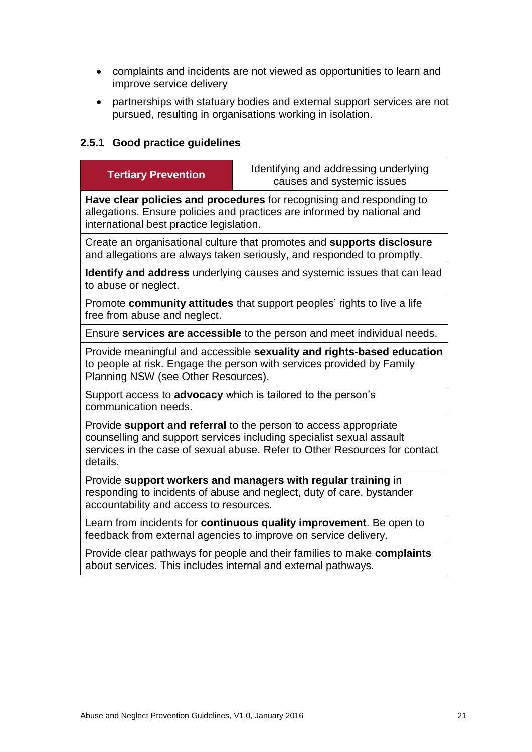- complaints and incidents are not viewed as opportunities to learn and improve service delivery
- partnerships with statuary bodies and external support services are not pursued, resulting in organisations working in isolation.

#### **2.5.1 Good practice guidelines**

| <b>Tertiary Prevention</b>                                                                                                                                                                                                         | Identifying and addressing underlying<br>causes and systemic issues |  |  |  |
|------------------------------------------------------------------------------------------------------------------------------------------------------------------------------------------------------------------------------------|---------------------------------------------------------------------|--|--|--|
| Have clear policies and procedures for recognising and responding to<br>allegations. Ensure policies and practices are informed by national and<br>international best practice legislation.                                        |                                                                     |  |  |  |
| Create an organisational culture that promotes and supports disclosure<br>and allegations are always taken seriously, and responded to promptly.                                                                                   |                                                                     |  |  |  |
| <b>Identify and address</b> underlying causes and systemic issues that can lead<br>to abuse or neglect.                                                                                                                            |                                                                     |  |  |  |
| Promote community attitudes that support peoples' rights to live a life<br>free from abuse and neglect.                                                                                                                            |                                                                     |  |  |  |
| Ensure services are accessible to the person and meet individual needs.                                                                                                                                                            |                                                                     |  |  |  |
| Provide meaningful and accessible sexuality and rights-based education<br>to people at risk. Engage the person with services provided by Family<br>Planning NSW (see Other Resources).                                             |                                                                     |  |  |  |
| Support access to advocacy which is tailored to the person's<br>communication needs.                                                                                                                                               |                                                                     |  |  |  |
| Provide support and referral to the person to access appropriate<br>counselling and support services including specialist sexual assault<br>services in the case of sexual abuse. Refer to Other Resources for contact<br>details. |                                                                     |  |  |  |
| Provide support workers and managers with regular training in<br>responding to incidents of abuse and neglect, duty of care, bystander<br>accountability and access to resources.                                                  |                                                                     |  |  |  |
| Learn from incidents for continuous quality improvement. Be open to<br>feedback from external agencies to improve on service delivery.                                                                                             |                                                                     |  |  |  |
| Provide clear pathways for people and their families to make complaints<br>about services. This includes internal and external pathways.                                                                                           |                                                                     |  |  |  |
|                                                                                                                                                                                                                                    |                                                                     |  |  |  |